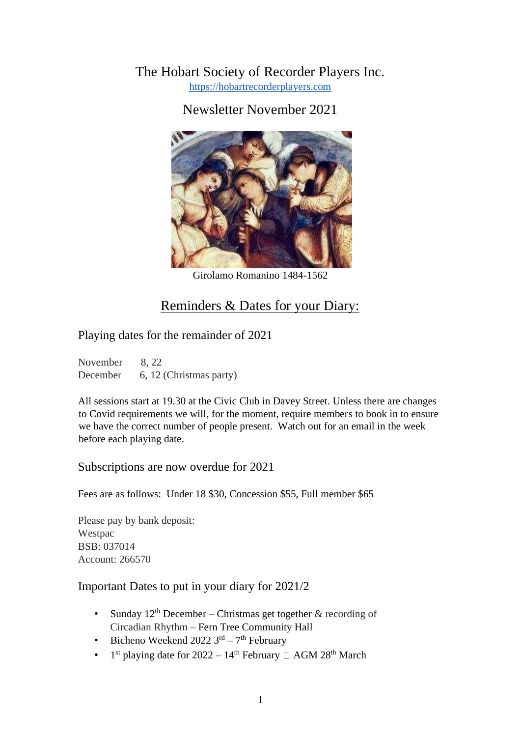The Hobart Society of Recorder Players Inc. https://hobartrecorderplayers.com

Newsletter November 2021



Girolamo Romanino 1484-1562

# Reminders & Dates for your Diary:

Playing dates for the remainder of 2021

November 8, 22 December 6, 12 (Christmas party)

All sessions start at 19.30 at the Civic Club in Davey Street. Unless there are changes to Covid requirements we will, for the moment, require members to book in to ensure we have the correct number of people present. Watch out for an email in the week before each playing date.

Subscriptions are now overdue for 2021

Fees are as follows: Under 18 \$30, Concession \$55, Full member \$65

Please pay by bank deposit: Westpac BSB: 037014 Account: 266570

### Important Dates to put in your diary for 2021/2

- Sunday  $12<sup>th</sup>$  December Christmas get together & recording of Circadian Rhythm – Fern Tree Community Hall
- Bicheno Weekend 2022  $3<sup>rd</sup> 7<sup>th</sup>$  February
- 1  $1<sup>st</sup>$  playing date for 2022 –  $14<sup>th</sup>$  February  $\Box$  AGM 28<sup>th</sup> March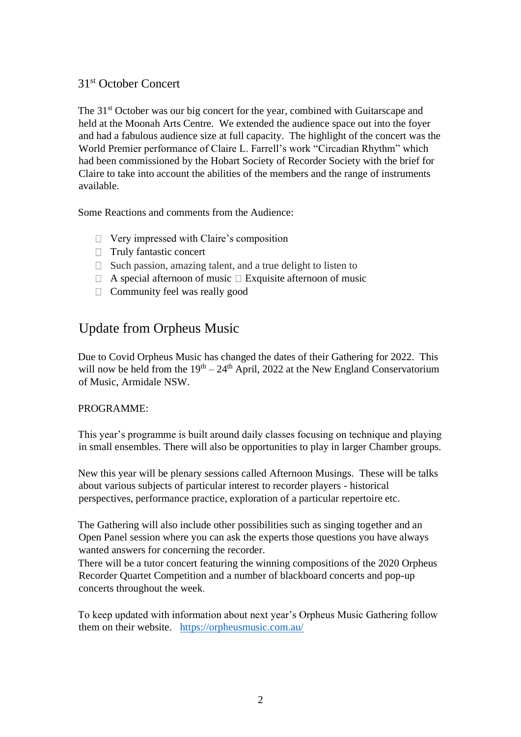### 31st October Concert

The 31<sup>st</sup> October was our big concert for the year, combined with Guitarscape and held at the Moonah Arts Centre. We extended the audience space out into the foyer and had a fabulous audience size at full capacity. The highlight of the concert was the World Premier performance of Claire L. Farrell's work "Circadian Rhythm" which had been commissioned by the Hobart Society of Recorder Society with the brief for Claire to take into account the abilities of the members and the range of instruments available.

Some Reactions and comments from the Audience:

- Very impressed with Claire's composition
- □ Truly fantastic concert
- $\Box$  Such passion, amazing talent, and a true delight to listen to
- $\Box$  A special afternoon of music  $\Box$  Exquisite afternoon of music
- $\Box$  Community feel was really good

# Update from Orpheus Music

Due to Covid Orpheus Music has changed the dates of their Gathering for 2022. This will now be held from the  $19<sup>th</sup> - 24<sup>th</sup>$  April, 2022 at the New England Conservatorium of Music, Armidale NSW.

#### PROGRAMME:

This year's programme is built around daily classes focusing on technique and playing in small ensembles. There will also be opportunities to play in larger Chamber groups.

New this year will be plenary sessions called Afternoon Musings. These will be talks about various subjects of particular interest to recorder players - historical perspectives, performance practice, exploration of a particular repertoire etc.

The Gathering will also include other possibilities such as singing together and an Open Panel session where you can ask the experts those questions you have always wanted answers for concerning the recorder.

There will be a tutor concert featuring the winning compositions of the 2020 Orpheus Recorder Quartet Competition and a number of blackboard concerts and pop-up concerts throughout the week.

To keep updated with information about next year's Orpheus Music Gathering follow them on their website. https://orpheusmusic.com.au/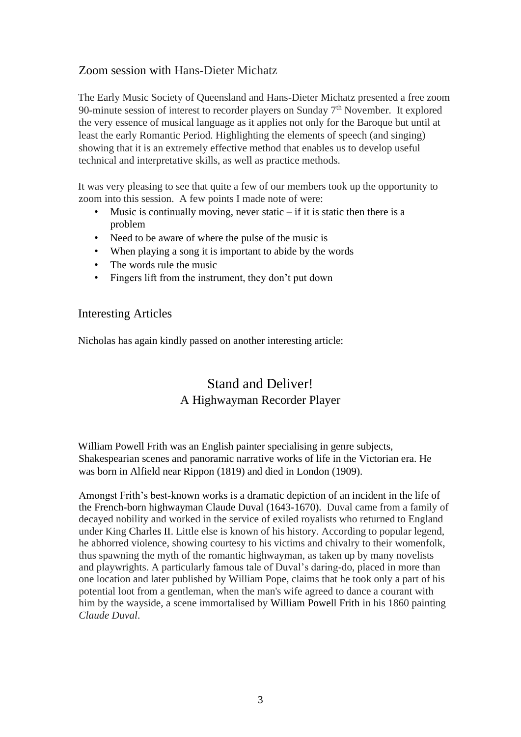## Zoom session with Hans-Dieter Michatz

The Early Music Society of Queensland and Hans-Dieter Michatz presented a free zoom 90-minute session of interest to recorder players on Sunday  $7<sup>th</sup>$  November. It explored the very essence of musical language as it applies not only for the Baroque but until at least the early Romantic Period. Highlighting the elements of speech (and singing) showing that it is an extremely effective method that enables us to develop useful technical and interpretative skills, as well as practice methods.

It was very pleasing to see that quite a few of our members took up the opportunity to zoom into this session. A few points I made note of were:

- Music is continually moving, never static  $-$  if it is static then there is a problem
- Need to be aware of where the pulse of the music is
- When playing a song it is important to abide by the words
- The words rule the music
- Fingers lift from the instrument, they don't put down

### Interesting Articles

Nicholas has again kindly passed on another interesting article:

# Stand and Deliver! A Highwayman Recorder Player

William Powell Frith was an English painter specialising in genre subjects, Shakespearian scenes and panoramic narrative works of life in the Victorian era. He was born in Alfield near Rippon (1819) and died in London (1909).

Amongst Frith's best-known works is a dramatic depiction of an incident in the life of the French-born highwayman Claude Duval (1643-1670). Duval came from a family of decayed nobility and worked in the service of exiled royalists who returned to England under King Charles II. Little else is known of his history. According to popular legend, he abhorred violence, showing courtesy to his victims and chivalry to their womenfolk, thus spawning the myth of the romantic highwayman, as taken up by many novelists and playwrights. A particularly famous tale of Duval's daring-do, placed in more than one location and later published by William Pope, claims that he took only a part of his potential loot from a gentleman, when the man's wife agreed to dance a courant with him by the wayside, a scene immortalised by William Powell Frith in his 1860 painting *Claude Duval*.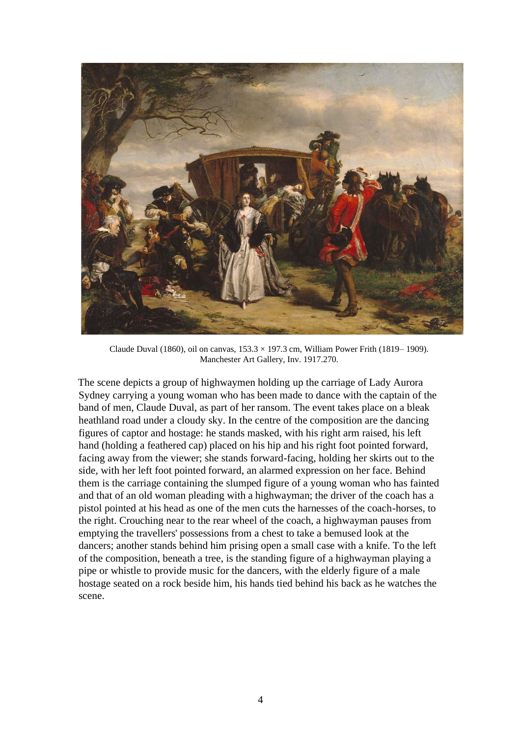

Claude Duval (1860), oil on canvas,  $153.3 \times 197.3$  cm, William Power Frith (1819–1909). Manchester Art Gallery, Inv. 1917.270.

The scene depicts a group of highwaymen holding up the carriage of Lady Aurora Sydney carrying a young woman who has been made to dance with the captain of the band of men, Claude Duval, as part of her ransom. The event takes place on a bleak heathland road under a cloudy sky. In the centre of the composition are the dancing figures of captor and hostage: he stands masked, with his right arm raised, his left hand (holding a feathered cap) placed on his hip and his right foot pointed forward, facing away from the viewer; she stands forward-facing, holding her skirts out to the side, with her left foot pointed forward, an alarmed expression on her face. Behind them is the carriage containing the slumped figure of a young woman who has fainted and that of an old woman pleading with a highwayman; the driver of the coach has a pistol pointed at his head as one of the men cuts the harnesses of the coach-horses, to the right. Crouching near to the rear wheel of the coach, a highwayman pauses from emptying the travellers' possessions from a chest to take a bemused look at the dancers; another stands behind him prising open a small case with a knife. To the left of the composition, beneath a tree, is the standing figure of a highwayman playing a pipe or whistle to provide music for the dancers, with the elderly figure of a male hostage seated on a rock beside him, his hands tied behind his back as he watches the scene.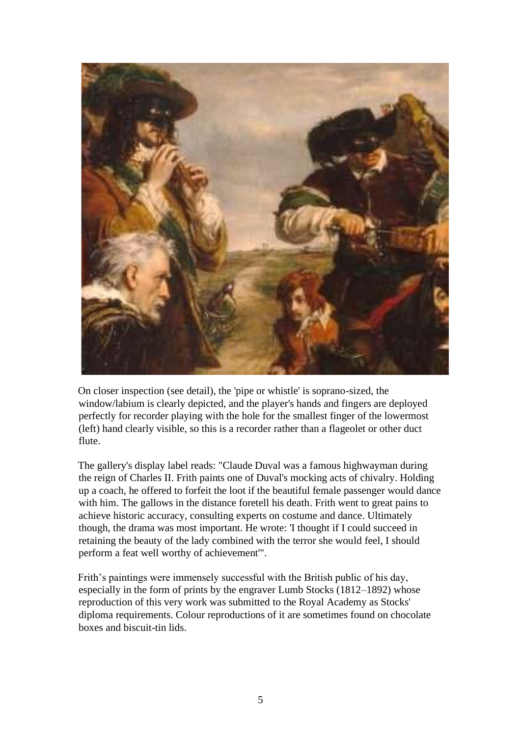

On closer inspection (see detail), the 'pipe or whistle' is soprano-sized, the window/labium is clearly depicted, and the player's hands and fingers are deployed perfectly for recorder playing with the hole for the smallest finger of the lowermost (left) hand clearly visible, so this is a recorder rather than a flageolet or other duct flute.

The gallery's display label reads: "Claude Duval was a famous highwayman during the reign of Charles II. Frith paints one of Duval's mocking acts of chivalry. Holding up a coach, he offered to forfeit the loot if the beautiful female passenger would dance with him. The gallows in the distance foretell his death. Frith went to great pains to achieve historic accuracy, consulting experts on costume and dance. Ultimately though, the drama was most important. He wrote: 'I thought if I could succeed in retaining the beauty of the lady combined with the terror she would feel, I should perform a feat well worthy of achievement'".

Frith's paintings were immensely successful with the British public of his day, especially in the form of prints by the engraver Lumb Stocks (1812–1892) whose reproduction of this very work was submitted to the Royal Academy as Stocks' diploma requirements. Colour reproductions of it are sometimes found on chocolate boxes and biscuit-tin lids.